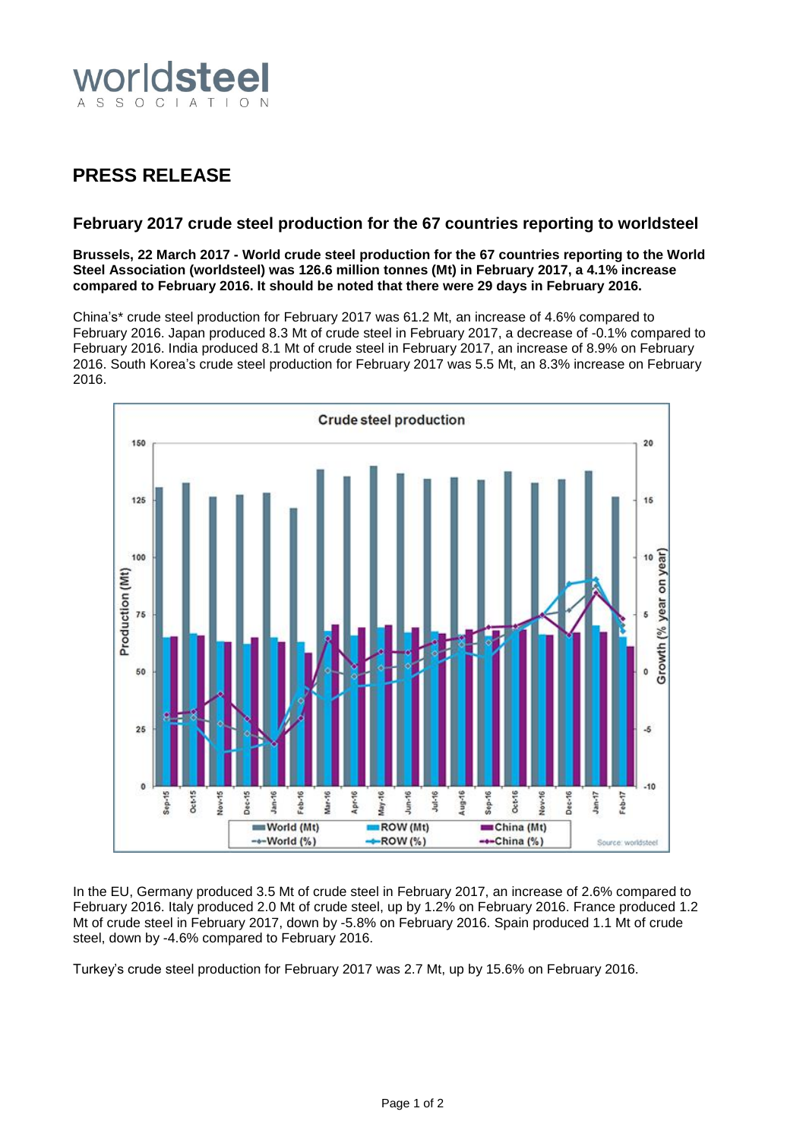

# **PRESS RELEASE**

# **February 2017 crude steel production for the 67 countries reporting to worldsteel**

#### **Brussels, 22 March 2017 - World crude steel production for the 67 countries reporting to the World Steel Association (worldsteel) was 126.6 million tonnes (Mt) in February 2017, a 4.1% increase compared to February 2016. It should be noted that there were 29 days in February 2016.**

China's\* crude steel production for February 2017 was 61.2 Mt, an increase of 4.6% compared to February 2016. Japan produced 8.3 Mt of crude steel in February 2017, a decrease of -0.1% compared to February 2016. India produced 8.1 Mt of crude steel in February 2017, an increase of 8.9% on February 2016. South Korea's crude steel production for February 2017 was 5.5 Mt, an 8.3% increase on February 2016.



In the EU, Germany produced 3.5 Mt of crude steel in February 2017, an increase of 2.6% compared to February 2016. Italy produced 2.0 Mt of crude steel, up by 1.2% on February 2016. France produced 1.2 Mt of crude steel in February 2017, down by -5.8% on February 2016. Spain produced 1.1 Mt of crude steel, down by -4.6% compared to February 2016.

Turkey's crude steel production for February 2017 was 2.7 Mt, up by 15.6% on February 2016.